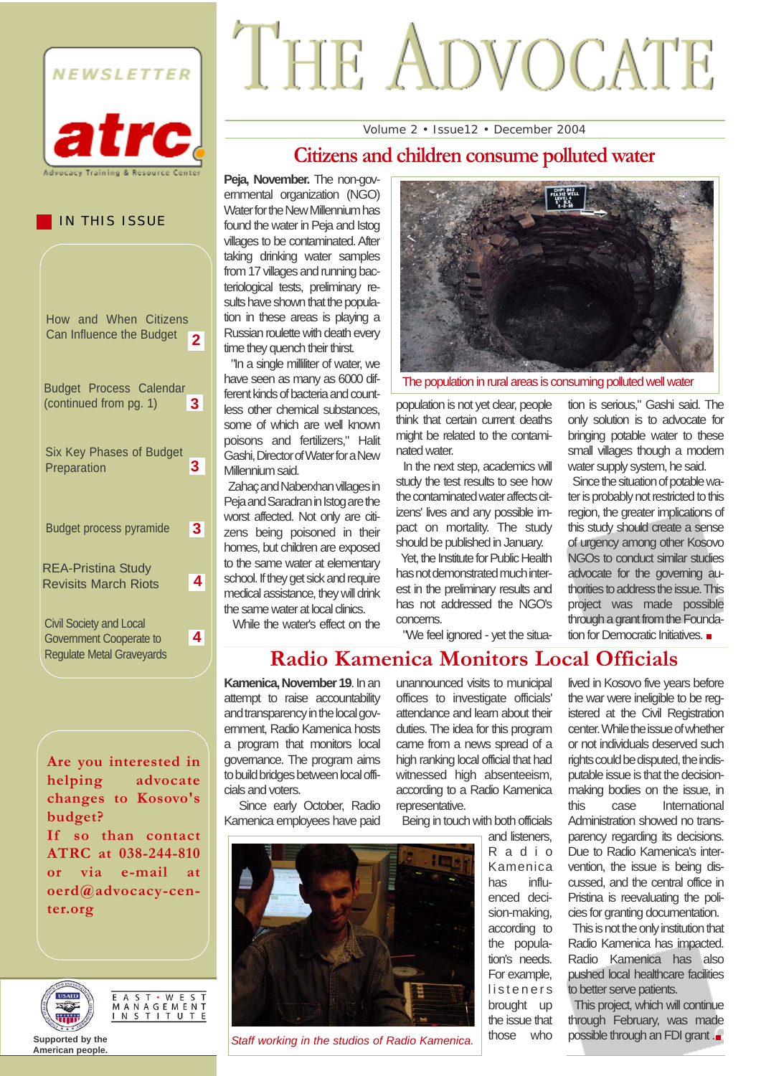

IN THIS ISSUE

Budget Process Calendar (continued from pg. 1) **3**

How and When Citizens Can Influence the Budget **2**

Six Key Phases of Budget

Budget process pyramide **3**

Revisits March Riots **4**

REA-Pristina Study

Preparation

Civil Society and Local Government Cooperate to Regulate Metal Graveyards **3**

**4**

# THE ADVOCATE

#### Volume 2 • Issue12 • December 2004

#### **Citizens and children consume polluted water**

Peja, November. The non-governmental organization (NGO) Water for the New Millennium has found the water in Peja and Istog villages to be contaminated. After taking drinking water samples from 17 villages and running bacteriological tests, preliminary results have shown that the population in these areas is playing a Russian roulette with death every time they quench their thirst.

"In a single milliliter of water, we have seen as many as 6000 different kinds of bacteria and countless other chemical substances, some of which are well known poisons and fertilizers," Halit Gashi, Director of Water for a New Millennium said.

Zahaç and Naberxhan villages in Peja and Saradran in Istog are the worst affected. Not only are citizens being poisoned in their homes, but children are exposed to the same water at elementary school. If they get sick and require medical assistance, they will drink the same water at local clinics.

While the water's effect on the



The population in rural areas is consuming polluted well water

population is not yet clear, people think that certain current deaths might be related to the contaminated water.

In the next step, academics will study the test results to see how the contaminated water affects citizens' lives and any possible impact on mortality. The study should be published in January.

Yet, the Institute for Public Health has not demonstrated much interest in the preliminary results and has not addressed the NGO's concerns.

"We feel ignored - yet the situa-

tion is serious," Gashi said. The only solution is to advocate for bringing potable water to these small villages though a modern water supply system, he said.

Since the situation of potable water is probably not restricted to this region, the greater implications of this study should create a sense of urgency among other Kosovo NGOs to conduct similar studies advocate for the governing authorities to address the issue. This project was made possible through a grant from the Foundation for Democratic Initiatives.

**Radio Kamenica Monitors Local Officials**

**Kamenica, November 19**. In an attempt to raise accountability and transparency in the local government, Radio Kamenica hosts a program that monitors local governance. The program aims to build bridges between local officials and voters.

Kamenica employees have paid

*Staff working in the studios of Radio Kamenica.*

unannounced visits to municipal offices to investigate officials' attendance and learn about their duties. The idea for this program came from a news spread of a high ranking local official that had witnessed high absenteeism. according to a Radio Kamenica representative.

Being in touch with both officials

and listeners, Radio Kamenica has influenced decision-making, according to the population's needs. For example, listeners brought up the issue that those who

lived in Kosovo five years before the war were ineligible to be registered at the Civil Registration center. While the issue of whether or not individuals deserved such rights could be disputed, the indisputable issue is that the decisionmaking bodies on the issue, in this case International Administration showed no transparency regarding its decisions. Due to Radio Kamenica's intervention, the issue is being discussed, and the central office in Pristina is reevaluating the policies for granting documentation.

This is not the only institution that Radio Kamenica has impacted. Radio Kamenica has also pushed local healthcare facilities to better serve patients.

This project, which will continue through February, was made possible through an FDI grant .



E A S T · W E S T<br>M A N A G E M E N T<br>I N S T I T U T E



**Supported by the American people.**

Since early October, Radio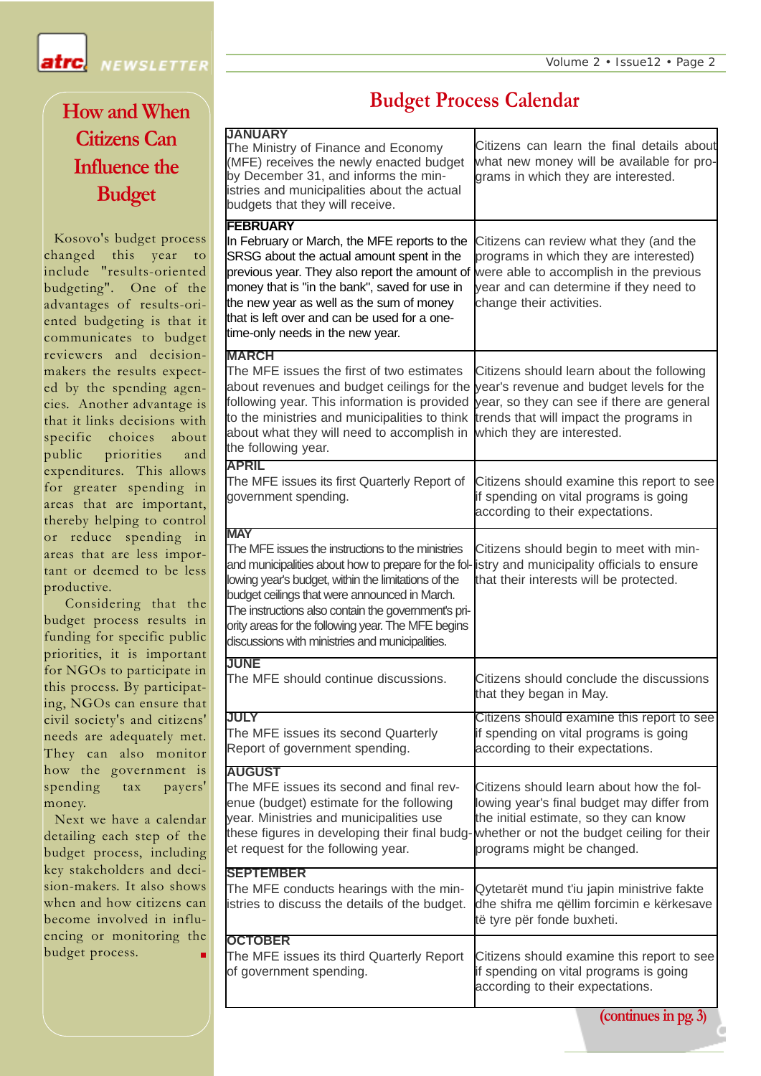NEWSLETTER

# **How and When Citizens Can Influence the Budget**

atrcl

Kosovo's budget process changed this year to include "results-oriented budgeting". One of the advantages of results-oriented budgeting is that it communicates to budget reviewers and decisionmakers the results expected by the spending agencies. Another advantage is that it links decisions with specific choices about public priorities and expenditures. This allows for greater spending in areas that are important, thereby helping to control or reduce spending in areas that are less important or deemed to be less productive.

Considering that the budget process results in funding for specific public priorities, it is important for NGOs to participate in this process. By participating, NGOs can ensure that civil society's and citizens' needs are adequately met. They can also monitor how the government is spending tax payers' money.

Next we have a calendar detailing each step of the budget process, including key stakeholders and decision-makers. It also shows when and how citizens can become involved in influencing or monitoring the budget process.

#### **Budget Process Calendar**

| <b>JANUARY</b><br>The Ministry of Finance and Economy<br>(MFE) receives the newly enacted budget<br>by December 31, and informs the min-<br>istries and municipalities about the actual<br>budgets that they will receive.                                                                                                                                                                                                   | Citizens can learn the final details about<br>what new money will be available for pro-<br>grams in which they are interested.                                                                               |
|------------------------------------------------------------------------------------------------------------------------------------------------------------------------------------------------------------------------------------------------------------------------------------------------------------------------------------------------------------------------------------------------------------------------------|--------------------------------------------------------------------------------------------------------------------------------------------------------------------------------------------------------------|
| <b>FEBRUARY</b>                                                                                                                                                                                                                                                                                                                                                                                                              |                                                                                                                                                                                                              |
| In February or March, the MFE reports to the<br>SRSG about the actual amount spent in the<br>previous year. They also report the amount of<br>money that is "in the bank", saved for use in<br>the new year as well as the sum of money<br>that is left over and can be used for a one-<br>time-only needs in the new year.                                                                                                  | Citizens can review what they (and the<br>programs in which they are interested)<br>were able to accomplish in the previous<br>year and can determine if they need to<br>change their activities.            |
| <b>MARCH</b>                                                                                                                                                                                                                                                                                                                                                                                                                 |                                                                                                                                                                                                              |
| The MFE issues the first of two estimates<br>about revenues and budget ceilings for the<br>following year. This information is provided<br>to the ministries and municipalities to think<br>about what they will need to accomplish in<br>the following year.                                                                                                                                                                | Citizens should learn about the following<br>year's revenue and budget levels for the<br>year, so they can see if there are general<br>trends that will impact the programs in<br>which they are interested. |
| <b>APRIL</b><br>The MFE issues its first Quarterly Report of<br>government spending.                                                                                                                                                                                                                                                                                                                                         | Citizens should examine this report to see<br>if spending on vital programs is going<br>according to their expectations.                                                                                     |
| <b>MAY</b>                                                                                                                                                                                                                                                                                                                                                                                                                   |                                                                                                                                                                                                              |
| The MFE issues the instructions to the ministries<br>and municipalities about how to prepare for the fol-listry and municipality officials to ensure<br>lowing year's budget, within the limitations of the<br>budget ceilings that were announced in March.<br>The instructions also contain the government's pri-<br>ority areas for the following year. The MFE begins<br>discussions with ministries and municipalities. | Citizens should begin to meet with min-<br>that their interests will be protected.                                                                                                                           |
| <b>JUNE</b><br>The MFE should continue discussions.                                                                                                                                                                                                                                                                                                                                                                          | Citizens should conclude the discussions<br>that they began in May.                                                                                                                                          |
| <b>JULY</b><br>The MFE issues its second Quarterly<br>Report of government spending.                                                                                                                                                                                                                                                                                                                                         | Citizens should examine this report to see<br>if spending on vital programs is going<br>according to their expectations.                                                                                     |
| <b>AUGUST</b><br>The MFE issues its second and final rev-<br>enue (budget) estimate for the following<br>year. Ministries and municipalities use<br>these figures in developing their final budg-whether or not the budget ceiling for their<br>et request for the following year.                                                                                                                                           | Citizens should learn about how the fol-<br>lowing year's final budget may differ from<br>the initial estimate, so they can know<br>programs might be changed.                                               |
| <b>SEPTEMBER</b>                                                                                                                                                                                                                                                                                                                                                                                                             |                                                                                                                                                                                                              |
| The MFE conducts hearings with the min-<br>istries to discuss the details of the budget.                                                                                                                                                                                                                                                                                                                                     | Qytetarët mund t'iu japin ministrive fakte<br>dhe shifra me qëllim forcimin e kërkesave<br>të tyre për fonde buxheti.                                                                                        |
| <b>OCTOBER</b><br>The MFE issues its third Quarterly Report<br>of government spending.                                                                                                                                                                                                                                                                                                                                       | Citizens should examine this report to see<br>if spending on vital programs is going<br>according to their expectations.                                                                                     |
|                                                                                                                                                                                                                                                                                                                                                                                                                              |                                                                                                                                                                                                              |

**(continues in pg. 3)**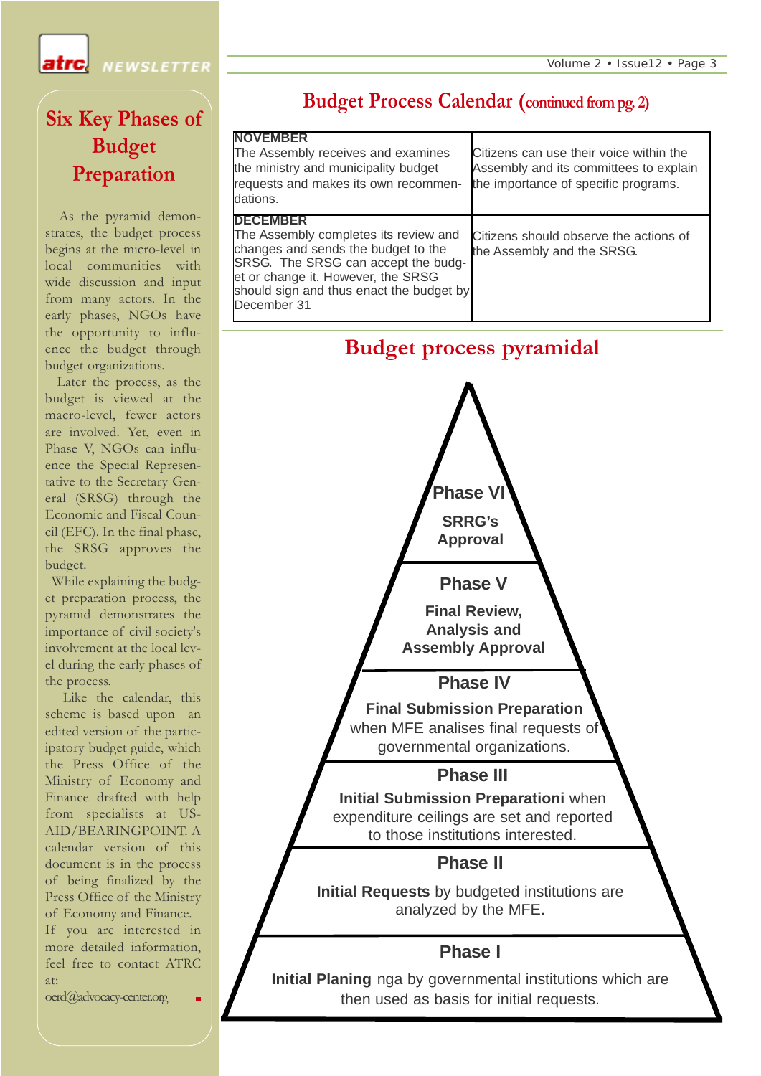**NEWSLETTER** 

## **Six Key Phases of Budget Preparation**

atrcl

As the pyramid demonstrates, the budget process begins at the micro-level in local communities with wide discussion and input from many actors. In the early phases, NGOs have the opportunity to influence the budget through budget organizations.

Later the process, as the budget is viewed at the macro-level, fewer actors are involved. Yet, even in Phase V, NGOs can influence the Special Representative to the Secretary General (SRSG) through the Economic and Fiscal Council (EFC). In the final phase, the SRSG approves the budget.

While explaining the budget preparation process, the pyramid demonstrates the importance of civil society's involvement at the local level during the early phases of the process.

Like the calendar, this scheme is based upon an edited version of the participatory budget guide, which the Press Office of the Ministry of Economy and Finance drafted with help from specialists at US-AID/BEARINGPOINT. A calendar version of this document is in the process of being finalized by the Press Office of the Ministry of Economy and Finance. If you are interested in more detailed information, feel free to contact ATRC at:

oerd@advocacy-center.org

#### **Budget Process Calendar (continued from pg. 2)**

| <b>NOVEMBER</b><br>The Assembly receives and examines<br>the ministry and municipality budget<br>requests and makes its own recommen-<br>dations.                                                                                       | Citizens can use their voice within the<br>Assembly and its committees to explain<br>the importance of specific programs. |
|-----------------------------------------------------------------------------------------------------------------------------------------------------------------------------------------------------------------------------------------|---------------------------------------------------------------------------------------------------------------------------|
| <b>DECEMBER</b><br>The Assembly completes its review and<br>changes and sends the budget to the<br>SRSG. The SRSG can accept the budg-<br>et or change it. However, the SRSG<br>should sign and thus enact the budget by<br>December 31 | Citizens should observe the actions of<br>the Assembly and the SRSG.                                                      |